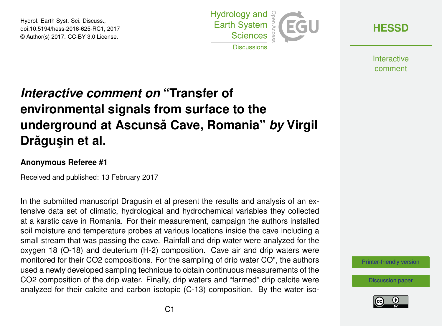Hydrol. Earth Syst. Sci. Discuss., doi:10.5194/hess-2016-625-RC1, 2017 © Author(s) 2017. CC-BY 3.0 License.



**[HESSD](http://www.hydrol-earth-syst-sci-discuss.net/)**

**Interactive** comment

## *Interactive comment on* **"Transfer of environmental signals from surface to the underground at Ascunsa Cave, Romania" ˘** *by* **Virgil Drăgușin et al.**

## **Anonymous Referee #1**

Received and published: 13 February 2017

In the submitted manuscript Dragusin et al present the results and analysis of an extensive data set of climatic, hydrological and hydrochemical variables they collected at a karstic cave in Romania. For their measurement, campaign the authors installed soil moisture and temperature probes at various locations inside the cave including a small stream that was passing the cave. Rainfall and drip water were analyzed for the oxygen 18 (O-18) and deuterium (H-2) composition. Cave air and drip waters were monitored for their CO2 compositions. For the sampling of drip water CO", the authors used a newly developed sampling technique to obtain continuous measurements of the CO2 composition of the drip water. Finally, drip waters and "farmed" drip calcite were analyzed for their calcite and carbon isotopic (C-13) composition. By the water iso-

[Printer-friendly version](http://www.hydrol-earth-syst-sci-discuss.net/hess-2016-625/hess-2016-625-RC1-print.pdf)

[Discussion paper](http://www.hydrol-earth-syst-sci-discuss.net/hess-2016-625)

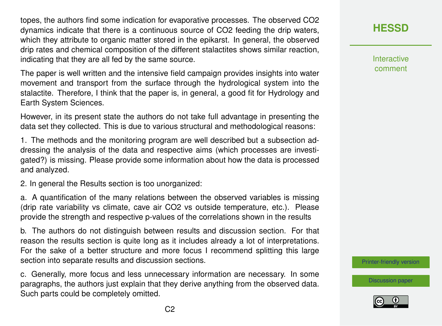topes, the authors find some indication for evaporative processes. The observed CO2 dynamics indicate that there is a continuous source of CO2 feeding the drip waters, which they attribute to organic matter stored in the epikarst. In general, the observed drip rates and chemical composition of the different stalactites shows similar reaction, indicating that they are all fed by the same source.

The paper is well written and the intensive field campaign provides insights into water movement and transport from the surface through the hydrological system into the stalactite. Therefore, I think that the paper is, in general, a good fit for Hydrology and Earth System Sciences.

However, in its present state the authors do not take full advantage in presenting the data set they collected. This is due to various structural and methodological reasons:

1. The methods and the monitoring program are well described but a subsection addressing the analysis of the data and respective aims (which processes are investigated?) is missing. Please provide some information about how the data is processed and analyzed.

2. In general the Results section is too unorganized:

a. A quantification of the many relations between the observed variables is missing (drip rate variability vs climate, cave air CO2 vs outside temperature, etc.). Please provide the strength and respective p-values of the correlations shown in the results

b. The authors do not distinguish between results and discussion section. For that reason the results section is quite long as it includes already a lot of interpretations. For the sake of a better structure and more focus I recommend splitting this large section into separate results and discussion sections.

c. Generally, more focus and less unnecessary information are necessary. In some paragraphs, the authors just explain that they derive anything from the observed data. Such parts could be completely omitted.

**[HESSD](http://www.hydrol-earth-syst-sci-discuss.net/)**

**Interactive** comment

[Printer-friendly version](http://www.hydrol-earth-syst-sci-discuss.net/hess-2016-625/hess-2016-625-RC1-print.pdf)

[Discussion paper](http://www.hydrol-earth-syst-sci-discuss.net/hess-2016-625)